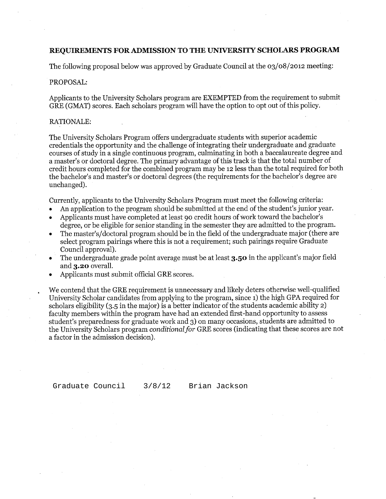### REQUIREMENTS FOR ADMISSION TO THE UNIVERSITY SCHOLARS PROGRAM

The following proposal below was approved by Graduate Council at the  $03/08/2012$  meeting:

#### PROPOSAL:

Applicants to the University Scholars program are EXEMPTED from the requirement to submit GRE (GMAT) scores. Each scholars program will have the option to opt out of this policy.

#### RATIONALE:

The University Scholars Program offers undergraduate students with superior academic credentials the opportunity and the challenge of integrating their undergraduate and graduate courses of study in a single continuous program, culminating in both a baccalaureate degree and a master's or doctoral degree. The primary advantage of this track is that the total number of credit hours completed for the combined program may be 12 less than the total required for both the bachelor's and master's or doctoral degrees (the requirements for the bachelor's degree are unchanged).

Currently, applicants to the University Scholars Program must meet the following criteria:

- An application to the program should be submitted at the end of the student's junior year.
- Applicants must have completed at least 90 credit hours of work toward the bachelor's  $\bullet$ degree, or be eligible for senior standing in the semester they are admitted to the program.
- The master's/doctoral program should be in the field of the undergraduate major (there are select program pairings where this is not a requirement; such pairings require Graduate Council approval).
- The undergraduate grade point average must be at least 3.50 in the applicant's major field and 3.20 overall.
- Applicants must submit official GRE scores.

We contend that the GRE requirement is unnecessary and likely deters otherwise well-qualified University Scholar candidates from applying to the program, since 1) the high GPA required for scholars eligibility  $(3.5 \text{ in the major})$  is a better indicator of the students academic ability 2) faculty members within the program have had an extended first-hand opportunity to assess student's preparedness for graduate work and 3) on many occasions, students are admitted to the University Scholars program conditional for GRE scores (indicating that these scores are not a factor in the admission decision).

Graduate Council

 $3/8/12$ 

Brian Jackson